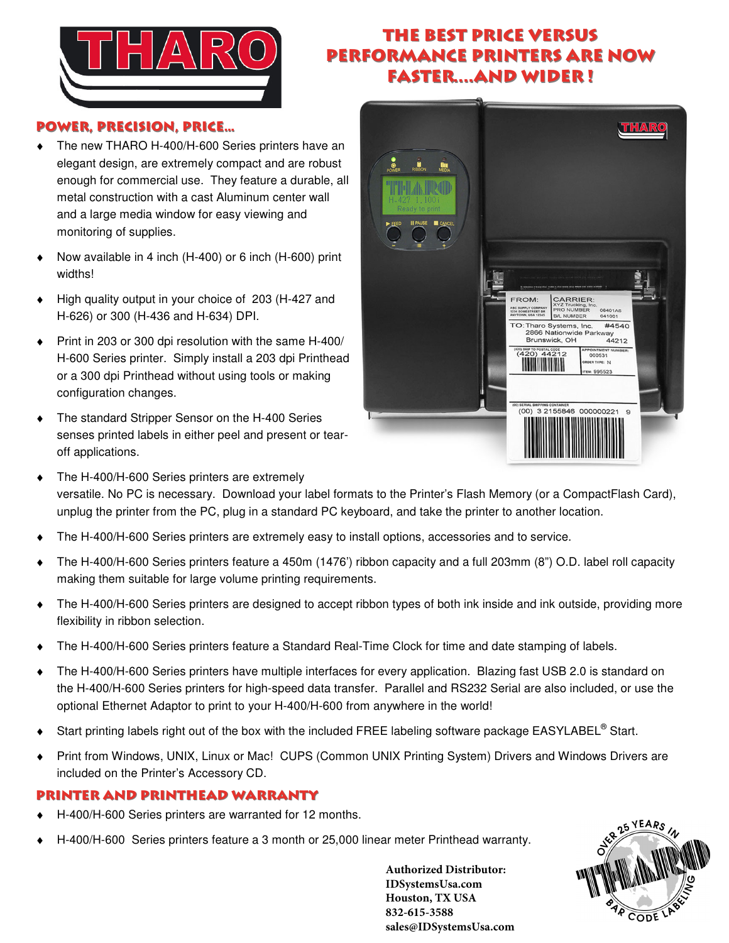

## THE BEST PRICE VERSUS PERFORMANCE Printers Are Now faster....and wider !

## POWER, PRECISION, PRICE…

- ♦ The new THARO H-400/H-600 Series printers have an elegant design, are extremely compact and are robust enough for commercial use. They feature a durable, all metal construction with a cast Aluminum center wall and a large media window for easy viewing and monitoring of supplies.
- Now available in 4 inch (H-400) or 6 inch (H-600) print widths!
- ♦ High quality output in your choice of 203 (H-427 and H-626) or 300 (H-436 and H-634) DPI.
- ♦ Print in 203 or 300 dpi resolution with the same H-400/ H-600 Series printer. Simply install a 203 dpi Printhead or a 300 dpi Printhead without using tools or making configuration changes.
- The standard Stripper Sensor on the H-400 Series senses printed labels in either peel and present or tearoff applications.



- The H-400/H-600 Series printers are extremely versatile. No PC is necessary. Download your label formats to the Printer's Flash Memory (or a CompactFlash Card), unplug the printer from the PC, plug in a standard PC keyboard, and take the printer to another location.
- The H-400/H-600 Series printers are extremely easy to install options, accessories and to service.
- ♦ The H-400/H-600 Series printers feature a 450m (1476') ribbon capacity and a full 203mm (8") O.D. label roll capacity making them suitable for large volume printing requirements.
- ♦ The H-400/H-600 Series printers are designed to accept ribbon types of both ink inside and ink outside, providing more flexibility in ribbon selection.
- The H-400/H-600 Series printers feature a Standard Real-Time Clock for time and date stamping of labels.
- ♦ The H-400/H-600 Series printers have multiple interfaces for every application. Blazing fast USB 2.0 is standard on the H-400/H-600 Series printers for high-speed data transfer. Parallel and RS232 Serial are also included, or use the optional Ethernet Adaptor to print to your H-400/H-600 from anywhere in the world!
- ◆ Start printing labels right out of the box with the included FREE labeling software package EASYLABEL<sup>®</sup> Start.
- Print from Windows, UNIX, Linux or Mac! CUPS (Common UNIX Printing System) Drivers and Windows Drivers are included on the Printer's Accessory CD.

## PRINTER AND PRINTHEAD WARRANTY

- H-400/H-600 Series printers are warranted for 12 months.
- H-400/H-600 Series printers feature a 3 month or 25,000 linear meter Printhead warranty.

**Authorized Distributor: IDSystemsUsa.com Houston, TX USA 832-615-3588 sales@IDSystemsUsa.com**